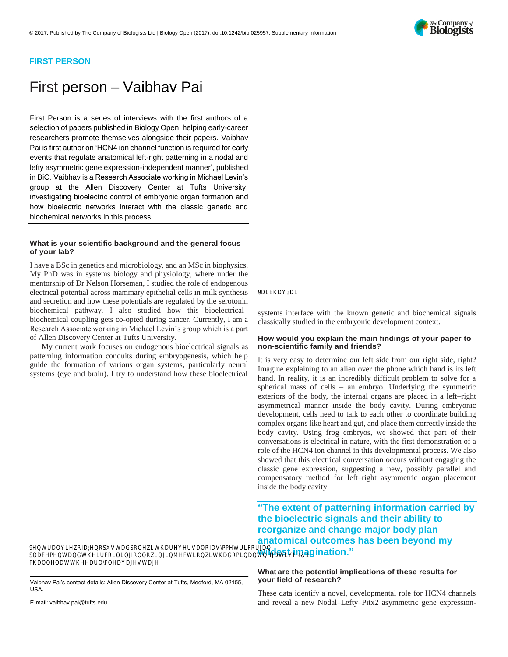

## **FIRST PERSON**

# First person – Vaibhav Pai

First Person is a series of interviews with the first authors of a selection of papers published in Biology Open, helping early-career researchers promote themselves alongside their papers. Vaibhav Pai is first author on ['HCN4 ion channel function is required for early](http://doi.org/10.1242/bio.025957)  [events that regulate anatomical left-right patterning in a nodal and](http://doi.org/10.1242/bio.025957)  [lefty asymmetric gene expression-independent manner'](http://doi.org/10.1242/bio.025957), published in BiO. Vaibhav is a Research Associate working in Michael Levin's group at the Allen Discovery Center at Tufts University, investigating bioelectric control of embryonic organ formation and how bioelectric networks interact with the classic genetic and biochemical networks in this process.

#### **What is your scientific background and the general focus of your lab?**

I have a BSc in genetics and microbiology, and an MSc in biophysics. My PhD was in systems biology and physiology, where under the mentorship of Dr Nelson Horseman, I studied the role of endogenous electrical potential across mammary epithelial cells in milk synthesis and secretion and how these potentials are regulated by the serotonin biochemical pathway. I also studied how this bioelectrical– biochemical coupling gets co-opted during cancer. Currently, I am a Research Associate working in Michael Levin's group which is a part of Allen Discovery Center at Tufts University.

My current work focuses on endogenous bioelectrical signals as patterning information conduits during embryogenesis, which help guide the formation of various organ systems, particularly neural systems (eye and brain). I try to understand how these bioelectrical

Vaibhav Pai's contact details: Allen Discovery Center at Tufts, Medford, MA 02155, **USA** 

E-mail: vaibhav.pai@tufts.edu

systems interface with the known genetic and biochemical signals classically studied in the embryonic development context.

#### **How would you explain the main findings of your paper to non-scientific family and friends?**

It is very easy to determine our left side from our right side, right? Imagine explaining to an alien over the phone which hand is its left hand. In reality, it is an incredibly difficult problem to solve for a spherical mass of cells – an embryo. Underlying the symmetric exteriors of the body, the internal organs are placed in a left–right asymmetrical manner inside the body cavity. During embryonic development, cells need to talk to each other to coordinate building complex organs like heart and gut, and place them correctly inside the body cavity. Using frog embryos, we showed that part of their conversations is electrical in nature, with the first demonstration of a role of the HCN4 ion channel in this developmental process. We also showed that this electrical conversation occurs without engaging the classic gene expression, suggesting a new, possibly parallel and compensatory method for left–right asymmetric organ placement inside the body cavity.

**"The extent of patterning information carried by the bioelectric signals and their ability to reorganize and change major body plan anatomical outcomes has been beyond my wildest imagination."**

## **What are the potential implications of these results for your field of research?**

These data identify a novel, developmental role for HCN4 channels and reveal a new Nodal–Lefty–Pitx2 asymmetric gene expression